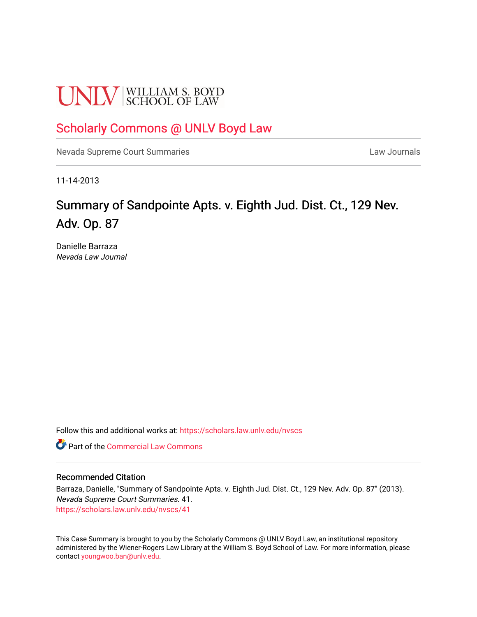# **UNLV** SCHOOL OF LAW

# [Scholarly Commons @ UNLV Boyd Law](https://scholars.law.unlv.edu/)

[Nevada Supreme Court Summaries](https://scholars.law.unlv.edu/nvscs) **Law Journals** Law Journals

11-14-2013

# Summary of Sandpointe Apts. v. Eighth Jud. Dist. Ct., 129 Nev. Adv. Op. 87

Danielle Barraza Nevada Law Journal

Follow this and additional works at: [https://scholars.law.unlv.edu/nvscs](https://scholars.law.unlv.edu/nvscs?utm_source=scholars.law.unlv.edu%2Fnvscs%2F41&utm_medium=PDF&utm_campaign=PDFCoverPages)

**C** Part of the [Commercial Law Commons](http://network.bepress.com/hgg/discipline/586?utm_source=scholars.law.unlv.edu%2Fnvscs%2F41&utm_medium=PDF&utm_campaign=PDFCoverPages)

#### Recommended Citation

Barraza, Danielle, "Summary of Sandpointe Apts. v. Eighth Jud. Dist. Ct., 129 Nev. Adv. Op. 87" (2013). Nevada Supreme Court Summaries. 41. [https://scholars.law.unlv.edu/nvscs/41](https://scholars.law.unlv.edu/nvscs/41?utm_source=scholars.law.unlv.edu%2Fnvscs%2F41&utm_medium=PDF&utm_campaign=PDFCoverPages) 

This Case Summary is brought to you by the Scholarly Commons @ UNLV Boyd Law, an institutional repository administered by the Wiener-Rogers Law Library at the William S. Boyd School of Law. For more information, please contact [youngwoo.ban@unlv.edu](mailto:youngwoo.ban@unlv.edu).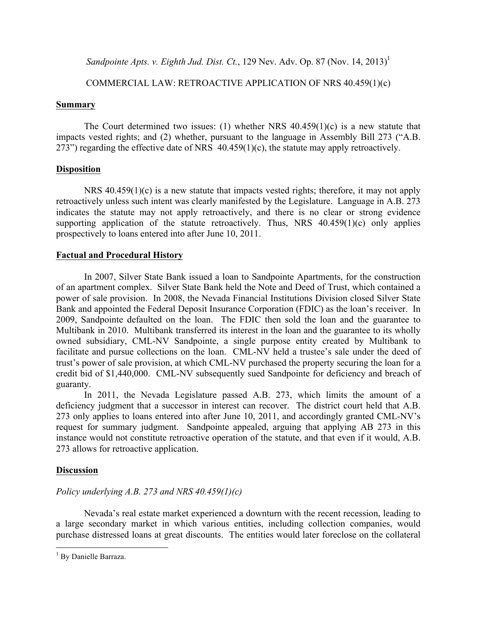*Sandpointe Apts. v. Eighth Jud. Dist. Ct.*, 129 Nev. Adv. Op. 87 (Nov. 14, 2013) 1

# COMMERCIAL LAW: RETROACTIVE APPLICATION OF NRS 40.459(1)(c)

### **Summary**

The Court determined two issues: (1) whether NRS  $40.459(1)(c)$  is a new statute that impacts vested rights; and (2) whether, pursuant to the language in Assembly Bill 273 ("A.B. 273") regarding the effective date of NRS  $40.459(1)(c)$ , the statute may apply retroactively.

# **Disposition**

NRS 40.459(1)(c) is a new statute that impacts vested rights; therefore, it may not apply retroactively unless such intent was clearly manifested by the Legislature. Language in A.B. 273 indicates the statute may not apply retroactively, and there is no clear or strong evidence supporting application of the statute retroactively. Thus, NRS  $40.459(1)(c)$  only applies prospectively to loans entered into after June 10, 2011.

# **Factual and Procedural History**

In 2007, Silver State Bank issued a loan to Sandpointe Apartments, for the construction of an apartment complex. Silver State Bank held the Note and Deed of Trust, which contained a power of sale provision. In 2008, the Nevada Financial Institutions Division closed Silver State Bank and appointed the Federal Deposit Insurance Corporation (FDIC) as the loan's receiver. In 2009, Sandpointe defaulted on the loan. The FDIC then sold the loan and the guarantee to Multibank in 2010. Multibank transferred its interest in the loan and the guarantee to its wholly owned subsidiary, CML-NV Sandpointe, a single purpose entity created by Multibank to facilitate and pursue collections on the loan. CML-NV held a trustee's sale under the deed of trust's power of sale provision, at which CML-NV purchased the property securing the loan for a credit bid of \$1,440,000. CML-NV subsequently sued Sandpointe for deficiency and breach of guaranty.

In 2011, the Nevada Legislature passed A.B. 273, which limits the amount of a deficiency judgment that a successor in interest can recover. The district court held that A.B. 273 only applies to loans entered into after June 10, 2011, and accordingly granted CML-NV's request for summary judgment. Sandpointe appealed, arguing that applying AB 273 in this instance would not constitute retroactive operation of the statute, and that even if it would, A.B. 273 allows for retroactive application.

# **Discussion**

# *Policy underlying A.B. 273 and NRS 40.459(1)(c)*

Nevada's real estate market experienced a downturn with the recent recession, leading to a large secondary market in which various entities, including collection companies, would purchase distressed loans at great discounts. The entities would later foreclose on the collateral

<sup>&</sup>lt;sup>1</sup> By Danielle Barraza.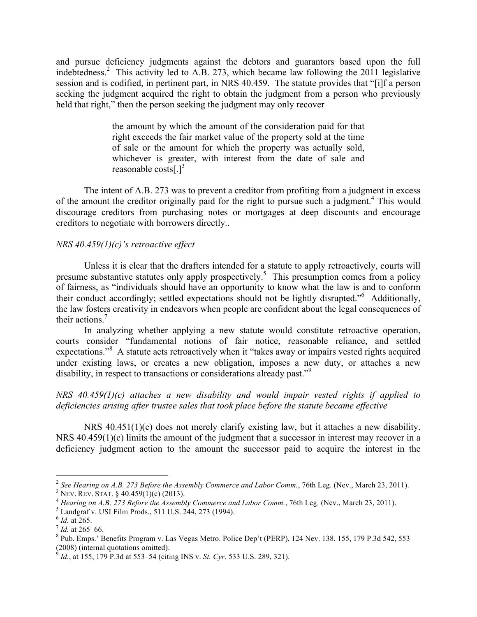and pursue deficiency judgments against the debtors and guarantors based upon the full indebtedness.<sup>2</sup> This activity led to A.B. 273, which became law following the 2011 legislative session and is codified, in pertinent part, in NRS 40.459. The statute provides that "[i]f a person seeking the judgment acquired the right to obtain the judgment from a person who previously held that right," then the person seeking the judgment may only recover

> the amount by which the amount of the consideration paid for that right exceeds the fair market value of the property sold at the time of sale or the amount for which the property was actually sold, whichever is greater, with interest from the date of sale and reasonable costs[ $.$ ]<sup>3</sup>

The intent of A.B. 273 was to prevent a creditor from profiting from a judgment in excess of the amount the creditor originally paid for the right to pursue such a judgment.<sup>4</sup> This would discourage creditors from purchasing notes or mortgages at deep discounts and encourage creditors to negotiate with borrowers directly..

#### *NRS 40.459(1)(c)'s retroactive effect*

Unless it is clear that the drafters intended for a statute to apply retroactively, courts will presume substantive statutes only apply prospectively.<sup>5</sup> This presumption comes from a policy of fairness, as "individuals should have an opportunity to know what the law is and to conform their conduct accordingly; settled expectations should not be lightly disrupted."6 Additionally, the law fosters creativity in endeavors when people are confident about the legal consequences of their actions.<sup>7</sup>

In analyzing whether applying a new statute would constitute retroactive operation, courts consider "fundamental notions of fair notice, reasonable reliance, and settled expectations."<sup>8</sup> A statute acts retroactively when it "takes away or impairs vested rights acquired under existing laws, or creates a new obligation, imposes a new duty, or attaches a new disability, in respect to transactions or considerations already past."<sup>9</sup>

*NRS 40.459(1)(c) attaches a new disability and would impair vested rights if applied to deficiencies arising after trustee sales that took place before the statute became effective*

NRS 40.451(1)(c) does not merely clarify existing law, but it attaches a new disability. NRS 40.459(1)(c) limits the amount of the judgment that a successor in interest may recover in a deficiency judgment action to the amount the successor paid to acquire the interest in the

<sup>&</sup>lt;sup>2</sup> See Hearing on A.B. 273 Before the Assembly Commerce and Labor Comm., 76th Leg. (Nev., March 23, 2011).<br>
<sup>3</sup> NEV. REV. STAT. § 40.459(1)(c) (2013).<br>
<sup>4</sup> Hearing on A.B. 273 Before the Assembly Commerce and Labor Comm.

 $^{9}$  *Id.*, at 155, 179 P.3d at 553–54 (citing INS v. *St. Cyr.* 533 U.S. 289, 321).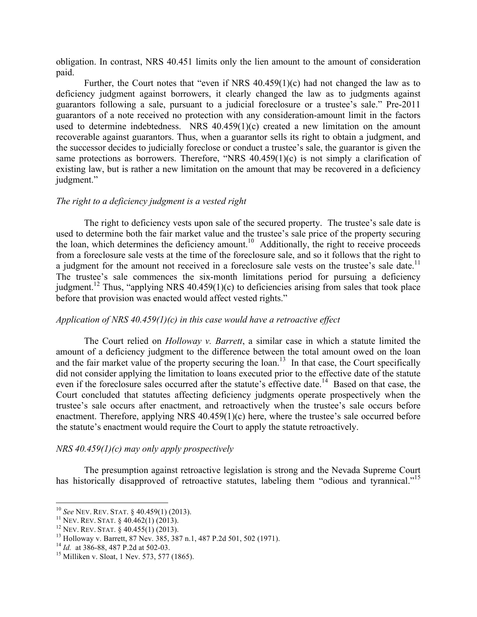obligation. In contrast, NRS 40.451 limits only the lien amount to the amount of consideration paid.

Further, the Court notes that "even if NRS 40.459(1)(c) had not changed the law as to deficiency judgment against borrowers, it clearly changed the law as to judgments against guarantors following a sale, pursuant to a judicial foreclosure or a trustee's sale." Pre-2011 guarantors of a note received no protection with any consideration-amount limit in the factors used to determine indebtedness. NRS  $40.459(1)(c)$  created a new limitation on the amount recoverable against guarantors. Thus, when a guarantor sells its right to obtain a judgment, and the successor decides to judicially foreclose or conduct a trustee's sale, the guarantor is given the same protections as borrowers. Therefore, "NRS 40.459(1)(c) is not simply a clarification of existing law, but is rather a new limitation on the amount that may be recovered in a deficiency judgment."

#### *The right to a deficiency judgment is a vested right*

The right to deficiency vests upon sale of the secured property. The trustee's sale date is used to determine both the fair market value and the trustee's sale price of the property securing the loan, which determines the deficiency amount.<sup>10</sup> Additionally, the right to receive proceeds from a foreclosure sale vests at the time of the foreclosure sale, and so it follows that the right to a judgment for the amount not received in a foreclosure sale vests on the trustee's sale date.<sup>11</sup> The trustee's sale commences the six-month limitations period for pursuing a deficiency judgment.<sup>12</sup> Thus, "applying NRS 40.459(1)(c) to deficiencies arising from sales that took place before that provision was enacted would affect vested rights."

#### *Application of NRS 40.459(1)(c) in this case would have a retroactive effect*

The Court relied on *Holloway v. Barrett*, a similar case in which a statute limited the amount of a deficiency judgment to the difference between the total amount owed on the loan and the fair market value of the property securing the loan.<sup>13</sup> In that case, the Court specifically did not consider applying the limitation to loans executed prior to the effective date of the statute even if the foreclosure sales occurred after the statute's effective date.<sup>14</sup> Based on that case, the Court concluded that statutes affecting deficiency judgments operate prospectively when the trustee's sale occurs after enactment, and retroactively when the trustee's sale occurs before enactment. Therefore, applying NRS 40.459(1)(c) here, where the trustee's sale occurred before the statute's enactment would require the Court to apply the statute retroactively.

#### *NRS 40.459(1)(c) may only apply prospectively*

The presumption against retroactive legislation is strong and the Nevada Supreme Court has historically disapproved of retroactive statutes, labeling them "odious and tyrannical."<sup>15</sup>

<sup>&</sup>lt;sup>10</sup> See NEV. REV. STAT. § 40.459(1) (2013).<br><sup>11</sup> NEV. REV. STAT. § 40.462(1) (2013).<br><sup>12</sup> NEV. REV. STAT. § 40.455(1) (2013).<br><sup>13</sup> Holloway v. Barrett, 87 Nev. 385, 387 n.1, 487 P.2d 501, 502 (1971).<br><sup>14</sup> Id. at 386-88,